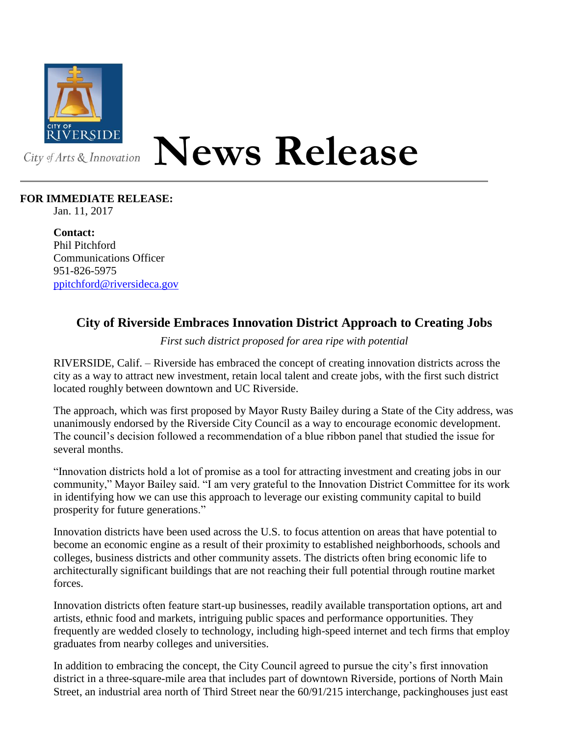

## **News Release**

## **FOR IMMEDIATE RELEASE:**

Jan. 11, 2017

**Contact:** Phil Pitchford Communications Officer 951-826-5975 [ppitchford@riversideca.gov](mailto:ppitchford@riversideca.gov)

## **City of Riverside Embraces Innovation District Approach to Creating Jobs**

*First such district proposed for area ripe with potential*

RIVERSIDE, Calif. – Riverside has embraced the concept of creating innovation districts across the city as a way to attract new investment, retain local talent and create jobs, with the first such district located roughly between downtown and UC Riverside.

The approach, which was first proposed by Mayor Rusty Bailey during a State of the City address, was unanimously endorsed by the Riverside City Council as a way to encourage economic development. The council's decision followed a recommendation of a blue ribbon panel that studied the issue for several months.

"Innovation districts hold a lot of promise as a tool for attracting investment and creating jobs in our community," Mayor Bailey said. "I am very grateful to the Innovation District Committee for its work in identifying how we can use this approach to leverage our existing community capital to build prosperity for future generations."

Innovation districts have been used across the U.S. to focus attention on areas that have potential to become an economic engine as a result of their proximity to established neighborhoods, schools and colleges, business districts and other community assets. The districts often bring economic life to architecturally significant buildings that are not reaching their full potential through routine market forces.

Innovation districts often feature start-up businesses, readily available transportation options, art and artists, ethnic food and markets, intriguing public spaces and performance opportunities. They frequently are wedded closely to technology, including high-speed internet and tech firms that employ graduates from nearby colleges and universities.

In addition to embracing the concept, the City Council agreed to pursue the city's first innovation district in a three-square-mile area that includes part of downtown Riverside, portions of North Main Street, an industrial area north of Third Street near the 60/91/215 interchange, packinghouses just east